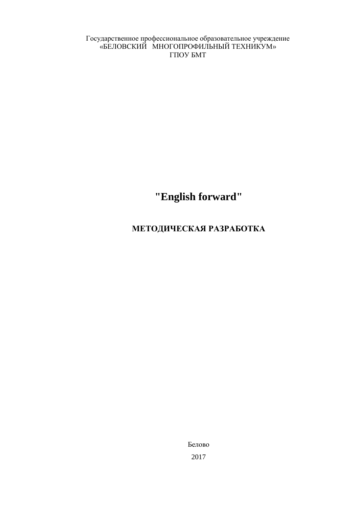Государственное профессиональное образовательное учреждение «БЕЛОВСКИЙ МНОГОПРОФИЛЬНЫЙ ТЕХНИКУМ» ГПОУ БМТ

**"English forward"**

# **МЕТОДИЧЕСКАЯ РАЗРАБОТКА**

Белово 2017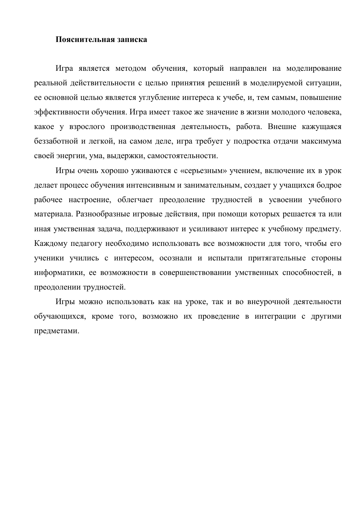#### **Пояснительная записка**

Игра является методом обучения, который направлен на моделирование реальной действительности с целью принятия решений в моделируемой ситуации, ее основной целью является углубление интереса к учебе, и, тем самым, повышение эффективности обучения. Игра имеет такое же значение в жизни молодого человека, какое у взрослого производственная деятельность, работа. Внешне кажущаяся беззаботной и легкой, на самом деле, игра требует у подростка отдачи максимума своей энергии, ума, выдержки, самостоятельности.

Игры очень хорошо уживаются с «серьезным» учением, включение их в урок делает процесс обучения интенсивным и занимательным, создает у учащихся бодрое рабочее настроение, облегчает преодоление трудностей в усвоении учебного материала. Разнообразные игровые действия, при помощи которых решается та или иная умственная задача, поддерживают и усиливают интерес к учебному предмету. Каждому педагогу необходимо использовать все возможности для того, чтобы его ученики учились с интересом, осознали и испытали притягательные стороны информатики, ее возможности в совершенствовании умственных способностей, в преодолении трудностей.

Игры можно использовать как на уроке, так и во внеурочной деятельности обучающихся, кроме того, возможно их проведение в интеграции с другими предметами.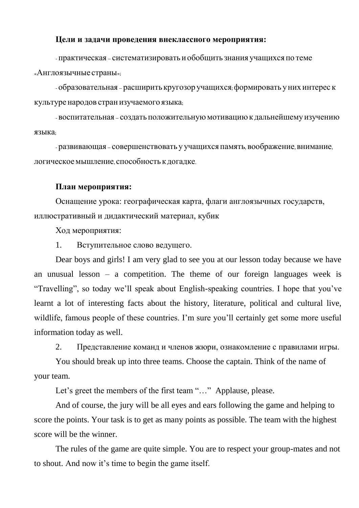### **Цели и задачи проведения внеклассного мероприятия:**

- практическая – систематизировать и обобщить знания учащихся по теме «Англоязычные страны»;

- образовательная – расширить кругозор учащихся; формировать у них интерес к культуре народов стран изучаемого языка;

- воспитательная - создать положительную мотивацию к дальнейшему изучению языка;

- развивающая – совершенствовать у учащихсяпамять, воображение, внимание, логическоемышление, способность к догадке.

#### **План мероприятия:**

Оснащение урока: географическая карта, флаги англоязычных государств, иллюстративный и дидактический материал, кубик

Ход мероприятия:

1. Вступительное слово ведущего.

Dear boys and girls! I am very glad to see you at our lesson today because we have an unusual lesson – a competition. The theme of our foreign languages week is "Travelling", so today we'll speak about English-speaking countries. I hope that you've learnt a lot of interesting facts about the history, literature, political and cultural live, wildlife, famous people of these countries. I'm sure you'll certainly get some more useful information today as well.

2. Представление команд и членов жюри, ознакомление с правилами игры.

You should break up into three teams. Choose the captain. Think of the name of your team.

Let's greet the members of the first team "..." Applause, please.

And of course, the jury will be all eyes and ears following the game and helping to score the points. Your task is to get as many points as possible. The team with the highest score will be the winner.

The rules of the game are quite simple. You are to respect your group-mates and not to shout. And now it's time to begin the game itself.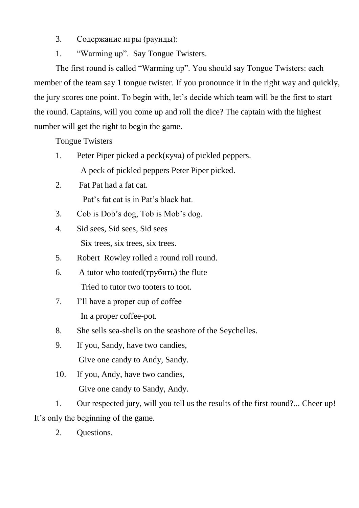3. Содержание игры (раунды):

1. "Warming up". Say Tongue Twisters.

The first round is called "Warming up". You should say Tongue Twisters: each member of the team say 1 tongue twister. If you pronounce it in the right way and quickly, the jury scores one point. To begin with, let's decide which team will be the first to start the round. Captains, will you come up and roll the dice? The captain with the highest number will get the right to begin the game.

Tongue Twisters

- 1. Peter Piper picked a peck(куча) of pickled peppers. A peck of pickled peppers Peter Piper picked.
- 2. Fat Pat had a fat cat. Pat's fat cat is in Pat's black hat.
- 3. Cob is Dob's dog, Tob is Mob's dog.
- 4. Sid sees, Sid sees, Sid sees Six trees, six trees, six trees.
- 5. Robert Rowley rolled a round roll round.
- 6. A tutor who tooted(трубить) the flute Tried to tutor two tooters to toot.
- 7. I'll have a proper cup of coffee In a proper coffee-pot.
- 8. She sells sea-shells on the seashore of the Seychelles.
- 9. If you, Sandy, have two candies, Give one candy to Andy, Sandy.
- 10. If you, Andy, have two candies, Give one candy to Sandy, Andy.

1. Our respected jury, will you tell us the results of the first round?... Cheer up! It's only the beginning of the game.

2. Questions.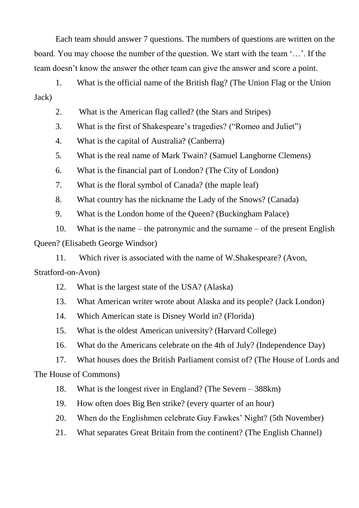Each team should answer 7 questions. The numbers of questions are written on the board. You may choose the number of the question. We start with the team '…'. If the team doesn't know the answer the other team can give the answer and score a point.

1. What is the official name of the British flag? (The Union Flag or the Union Jack)

2. What is the American flag called? (the Stars and Stripes)

3. What is the first of Shakespeare's tragedies? ("Romeo and Juliet")

4. What is the capital of Australia? (Canberra)

5. What is the real name of Mark Twain? (Samuel Langhorne Clemens)

6. What is the financial part of London? (The City of London)

7. What is the floral symbol of Canada? (the maple leaf)

8. What country has the nickname the Lady of the Snows? (Canada)

9. What is the London home of the Queen? (Buckingham Palace)

10. What is the name – the patronymic and the surname – of the present English Queen? (Elisabeth George Windsor)

11. Which river is associated with the name of W.Shakespeare? (Avon, Stratford-on-Avon)

12. What is the largest state of the USA? (Alaska)

13. What American writer wrote about Alaska and its people? (Jack London)

14. Which American state is Disney World in? (Florida)

15. What is the oldest American university? (Harvard College)

16. What do the Americans celebrate on the 4th of July? (Independence Day)

17. What houses does the British Parliament consist of? (The House of Lords and The House of Commons)

18. What is the longest river in England? (The Severn – 388km)

19. How often does Big Ben strike? (every quarter of an hour)

20. When do the Englishmen celebrate Guy Fawkes' Night? (5th November)

21. What separates Great Britain from the continent? (The English Channel)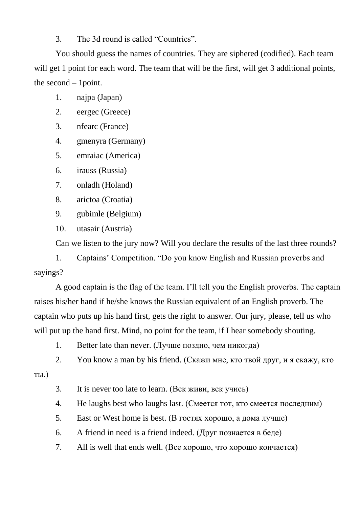3. The 3d round is called "Countries".

You should guess the names of countries. They are siphered (codified). Each team will get 1 point for each word. The team that will be the first, will get 3 additional points, the second – 1point.

- 1. najpa (Japan)
- 2. eergec (Greece)
- 3. nfearc (France)
- 4. gmenyra (Germany)
- 5. emraiac (America)
- 6. irauss (Russia)
- 7. onladh (Holand)
- 8. arictoa (Croatia)
- 9. gubimle (Belgium)
- 10. utasair (Austria)

Can we listen to the jury now? Will you declare the results of the last three rounds?

1. Captains' Competition. "Do you know English and Russian proverbs and sayings?

A good captain is the flag of the team. I'll tell you the English proverbs. The captain raises his/her hand if he/she knows the Russian equivalent of an English proverb. The captain who puts up his hand first, gets the right to answer. Our jury, please, tell us who will put up the hand first. Mind, no point for the team, if I hear somebody shouting.

- 1. Better late than never. (Лучше поздно, чем никогда)
- 2. You know a man by his friend. (Скажи мне, кто твой друг, и я скажу, кто

ты.)

- 3. It is never too late to learn. (Век живи, век учись)
- 4. He laughs best who laughs last. (Смеется тот, кто смеется последним)
- 5. East or West home is best. (В гостях хорошо, а дома лучше)
- 6. A friend in need is a friend indeed. (Друг познается в беде)
- 7. All is well that ends well. (Все хорошо, что хорошо кончается)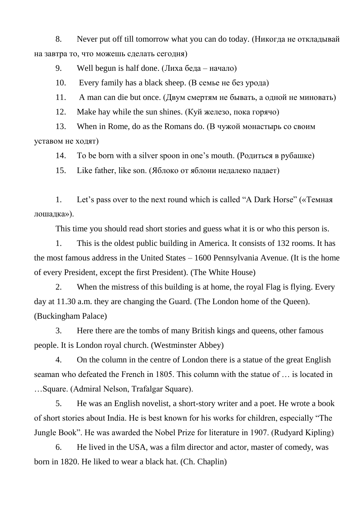8. Never put off till tomorrow what you can do today. (Никогда не откладывай на завтра то, что можешь сделать сегодня)

9. Well begun is half done. (Лиха беда – начало)

10. Every family has a black sheep. (В семье не без урода)

11. A man can die but once. (Двум смертям не бывать, а одной не миновать)

12. Make hay while the sun shines. (Куй железо, пока горячо)

13. When in Rome, do as the Romans do. (В чужой монастырь со своим уставом не ходят)

14. To be born with a silver spoon in one's mouth. (Родиться в рубашке)

15. Like father, like son. (Яблоко от яблони недалеко падает)

1. Let's pass over to the next round which is called "A Dark Horse" («Темная лошадка»).

This time you should read short stories and guess what it is or who this person is.

1. This is the oldest public building in America. It consists of 132 rooms. It has the most famous address in the United States – 1600 Pennsylvania Avenue. (It is the home of every President, except the first President). (The White House)

2. When the mistress of this building is at home, the royal Flag is flying. Every day at 11.30 a.m. they are changing the Guard. (The London home of the Queen). (Buckingham Palace)

3. Here there are the tombs of many British kings and queens, other famous people. It is London royal church. (Westminster Abbey)

4. On the column in the centre of London there is a statue of the great English seaman who defeated the French in 1805. This column with the statue of … is located in …Square. (Admiral Nelson, Trafalgar Square).

5. He was an English novelist, a short-story writer and a poet. He wrote a book of short stories about India. He is best known for his works for children, especially "The Jungle Book". He was awarded the Nobel Prize for literature in 1907. (Rudyard Kipling)

6. He lived in the USA, was a film director and actor, master of comedy, was born in 1820. He liked to wear a black hat. (Ch. Chaplin)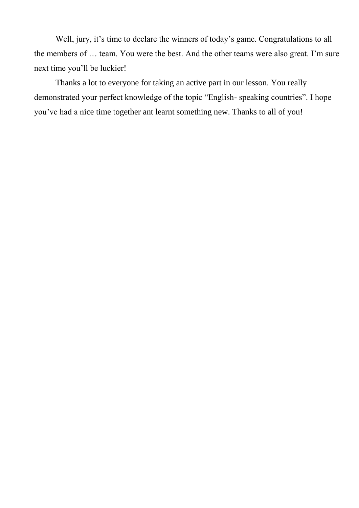Well, jury, it's time to declare the winners of today's game. Congratulations to all the members of … team. You were the best. And the other teams were also great. I'm sure next time you'll be luckier!

Thanks a lot to everyone for taking an active part in our lesson. You really demonstrated your perfect knowledge of the topic "English- speaking countries". I hope you've had a nice time together ant learnt something new. Thanks to all of you!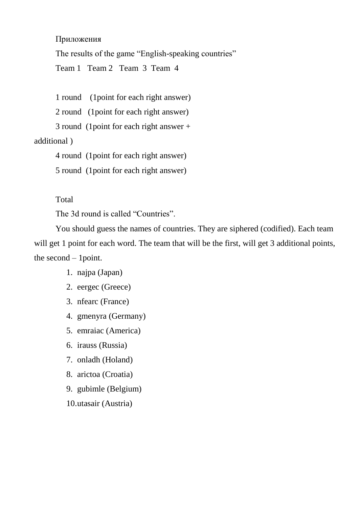Приложения

The results of the game "English-speaking countries"

Team 1 Team 2 Team 3 Team 4

1 round (1point for each right answer)

2 round (1point for each right answer)

3 round (1point for each right answer +

## additional )

4 round (1point for each right answer)

5 round (1point for each right answer)

## Total

The 3d round is called "Countries".

You should guess the names of countries. They are siphered (codified). Each team will get 1 point for each word. The team that will be the first, will get 3 additional points, the second – 1point.

- 1. najpa (Japan)
- 2. eergec (Greece)
- 3. nfearc (France)
- 4. gmenyra (Germany)
- 5. emraiac (America)
- 6. irauss (Russia)
- 7. onladh (Holand)
- 8. arictoa (Croatia)
- 9. gubimle (Belgium)
- 10.utasair (Austria)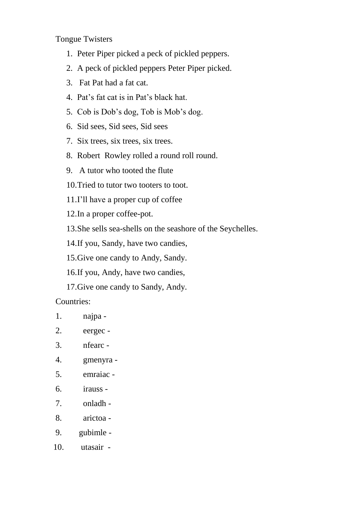Tongue Twisters

- 1. Peter Piper picked a peck of pickled peppers.
- 2. A peck of pickled peppers Peter Piper picked.
- 3. Fat Pat had a fat cat.
- 4. Pat's fat cat is in Pat's black hat.
- 5. Cob is Dob's dog, Tob is Mob's dog.
- 6. Sid sees, Sid sees, Sid sees
- 7. Six trees, six trees, six trees.
- 8. Robert Rowley rolled a round roll round.
- 9. A tutor who tooted the flute
- 10.Tried to tutor two tooters to toot.
- 11.I'll have a proper cup of coffee
- 12.In a proper coffee-pot.
- 13.She sells sea-shells on the seashore of the Seychelles.
- 14.If you, Sandy, have two candies,
- 15.Give one candy to Andy, Sandy.
- 16.If you, Andy, have two candies,
- 17.Give one candy to Sandy, Andy.

Countries:

- 1. najpa -
- 2. eergec -
- 3. nfearc -
- 4. gmenyra -
- 5. emraiac -
- 6. irauss -
- 7. onladh -
- 8. arictoa -
- 9. gubimle -
- 10. utasair -